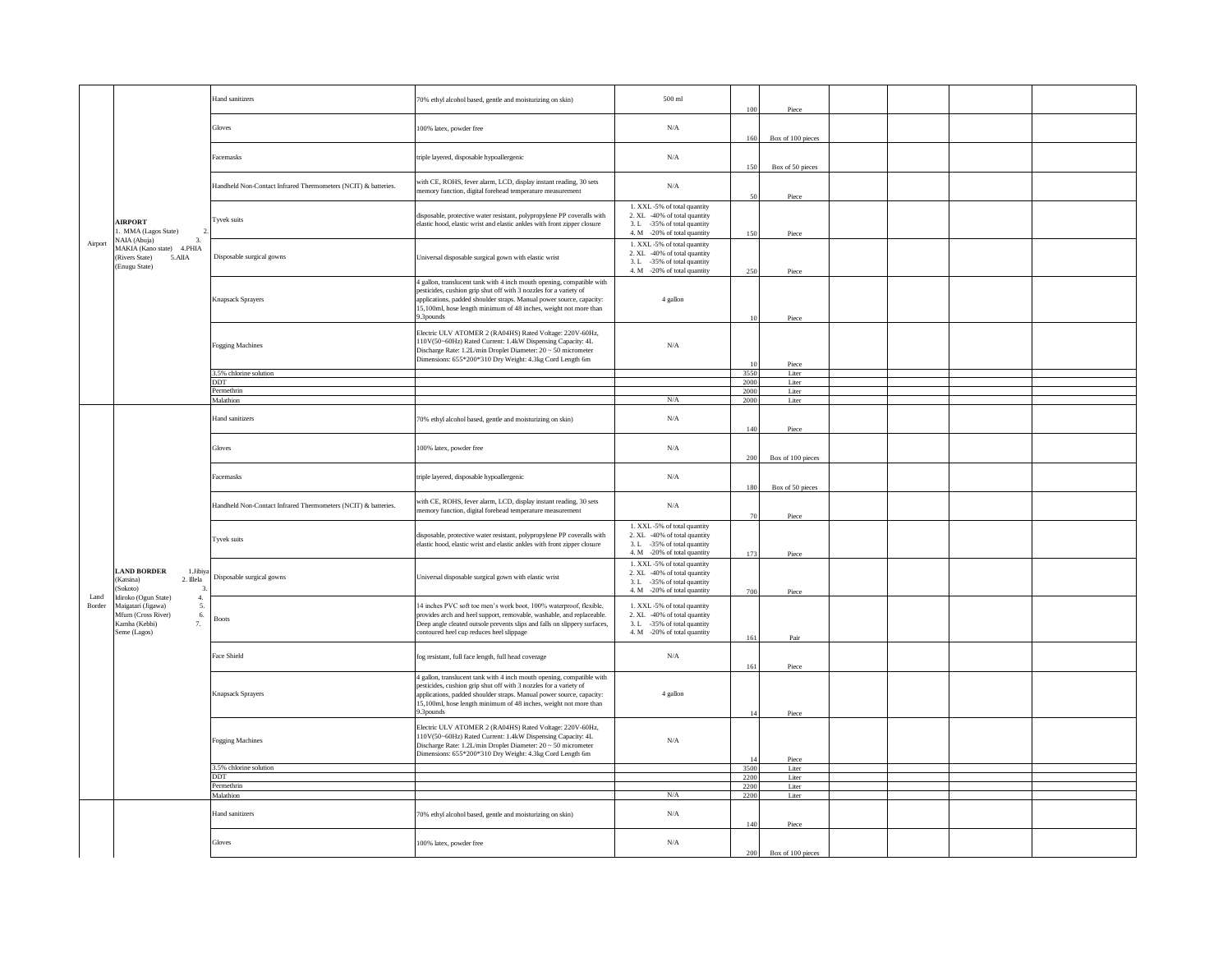| Airport        | <b>AIRPORT</b><br>. MMA (Lagos State)<br>NAIA (Abuja)<br>$\overline{3}$ .<br>MAKIA (Kano state) 4.PHIA<br>(Rivers State)<br>5.AIIA<br>(Enugu State)                                                    | Hand sanitizers                                                | 70% ethyl alcohol based, gentle and moisturizing on skin)                                                                                                                                                                                                                                           | 500 ml                                                                                                                    | 100                   | Piece             |  |
|----------------|--------------------------------------------------------------------------------------------------------------------------------------------------------------------------------------------------------|----------------------------------------------------------------|-----------------------------------------------------------------------------------------------------------------------------------------------------------------------------------------------------------------------------------------------------------------------------------------------------|---------------------------------------------------------------------------------------------------------------------------|-----------------------|-------------------|--|
|                |                                                                                                                                                                                                        | Gloves                                                         | 100% latex, powder free                                                                                                                                                                                                                                                                             | $\rm N/A$                                                                                                                 | 160                   | Box of 100 pieces |  |
|                |                                                                                                                                                                                                        | <b>Eacemasks</b>                                               | triple layered, disposable hypoallergenic                                                                                                                                                                                                                                                           | $\rm N/A$                                                                                                                 | 150                   | Box of 50 pieces  |  |
|                |                                                                                                                                                                                                        | Handheld Non-Contact Infrared Thermometers (NCIT) & batteries. | with CE, ROHS, fever alarm, LCD, display instant reading, 30 sets<br>memory function, digital forehead temperature measurement                                                                                                                                                                      | $\rm N/A$                                                                                                                 | 50                    | Piece             |  |
|                |                                                                                                                                                                                                        | Tyvek suits                                                    | disposable, protective water resistant, polypropylene PP coveralls with<br>elastic hood, elastic wrist and elastic ankles with front zipper closure                                                                                                                                                 | 1. XXL-5% of total quantity<br>2. XL -40% of total quantity<br>3. L -35% of total quantity                                |                       |                   |  |
|                |                                                                                                                                                                                                        |                                                                |                                                                                                                                                                                                                                                                                                     | 4. M -20% of total quantity                                                                                               | 150                   | Piece             |  |
|                |                                                                                                                                                                                                        | Disposable surgical gowns                                      | Universal disposable surgical gown with elastic wrist                                                                                                                                                                                                                                               | 1. XXL-5% of total quantity<br>2. XL -40% of total quantity<br>3. L -35% of total quantity<br>4. M -20% of total quantity | 250                   | Piece             |  |
|                |                                                                                                                                                                                                        | <b>Knapsack Sprayers</b>                                       | 4 gallon, translucent tank with 4 inch mouth opening, compatible with<br>pesticides, cushion grip shut off with 3 nozzles for a variety of<br>.<br>applications, padded shoulder straps. Manual power source, capacity:<br>15,100ml, hose length minimum of 48 inches, weight not more than         | 4 gallon                                                                                                                  |                       |                   |  |
|                |                                                                                                                                                                                                        |                                                                | 9.3pounds                                                                                                                                                                                                                                                                                           |                                                                                                                           | 10                    | Piece             |  |
|                |                                                                                                                                                                                                        | <b>Fogging Machines</b>                                        | Electric ULV ATOMER 2 (RA04HS) Rated Voltage: 220V-60Hz,<br>110V(50~60Hz) Rated Current: 1.4kW Dispensing Capacity: 4L<br>Discharge Rate: 1.2L/min Droplet Diameter: 20 ~ 50 micrometer<br>Dimensions: 655*200*310 Dry Weight: 4.3kg Cord Length 6m                                                 | $\rm N/A$                                                                                                                 |                       |                   |  |
|                |                                                                                                                                                                                                        | 3.5% chlorine solution                                         |                                                                                                                                                                                                                                                                                                     |                                                                                                                           | $\frac{1}{2}$<br>3550 | Piece<br>Liter    |  |
|                |                                                                                                                                                                                                        | DDT                                                            |                                                                                                                                                                                                                                                                                                     |                                                                                                                           | 2000                  | Liter             |  |
|                |                                                                                                                                                                                                        | Permethrin                                                     |                                                                                                                                                                                                                                                                                                     |                                                                                                                           | 2000                  | Liter             |  |
|                |                                                                                                                                                                                                        | Malathion                                                      |                                                                                                                                                                                                                                                                                                     | $\rm N/A$                                                                                                                 | 2000                  | Liter             |  |
|                | <b>LAND BORDER</b><br>1.Jibiya<br>(Katsina)<br>2. Illela<br>(Sokoto)<br>3<br>Idiroko (Ogun State)<br>4.<br>Maigatari (Jigawa)<br>5.<br>Mfum (Cross River)<br>6.<br>Kamba (Kebbi)<br>7.<br>Seme (Lagos) | Hand sanitizers                                                | 70% ethyl alcohol based, gentle and moisturizing on skin)                                                                                                                                                                                                                                           | $\rm N/A$                                                                                                                 | 140                   | Piece             |  |
|                |                                                                                                                                                                                                        | Gloves                                                         | 100% latex, powder free                                                                                                                                                                                                                                                                             | $\rm N/A$                                                                                                                 | 200                   | Box of 100 pieces |  |
|                |                                                                                                                                                                                                        | Facemasks                                                      | triple layered, disposable hypoallergenic                                                                                                                                                                                                                                                           | N/A                                                                                                                       | 180                   | Box of 50 pieces  |  |
|                |                                                                                                                                                                                                        | Handheld Non-Contact Infrared Thermometers (NCIT) & batteries. | with CE, ROHS, fever alarm, LCD, display instant reading, 30 sets<br>nemory function, digital forehead temperature measurement                                                                                                                                                                      | $\rm N/A$                                                                                                                 | 70                    | Piece             |  |
|                |                                                                                                                                                                                                        | Tyvek suits                                                    | disposable, protective water resistant, polypropylene PP coveralls with<br>elastic hood, elastic wrist and elastic ankles with front zipper closure                                                                                                                                                 | 1. XXL-5% of total quantity<br>2. XL -40% of total quantity<br>3. L -35% of total quantity<br>4. M -20% of total quantity | 173                   | Piece             |  |
|                |                                                                                                                                                                                                        | Disposable surgical gowns                                      | Universal disposable surgical gown with elastic wrist                                                                                                                                                                                                                                               | 1. XXL-5% of total quantity<br>2. XL -40% of total quantity<br>3. L -35% of total quantity<br>4. M -20% of total quantity | 700                   | Piece             |  |
| Land<br>Border |                                                                                                                                                                                                        | <b>Boots</b>                                                   | 14 inches PVC soft toe men's work boot, 100% waterproof, flexible,<br>provides arch and heel support, removable, washable, and replaceable.<br>Deep angle cleated outsole prevents slips and falls on slippery surfaces,<br>contoured heel cup reduces heel slippage                                | 1. XXL-5% of total quantity<br>2. XL -40% of total quantity<br>3. L -35% of total quantity<br>4. M -20% of total quantity |                       |                   |  |
|                |                                                                                                                                                                                                        | Face Shield                                                    | fog resistant, full face length, full head coverage                                                                                                                                                                                                                                                 | $\rm N/A$                                                                                                                 | 161                   | Pair              |  |
|                |                                                                                                                                                                                                        | Knapsack Sprayers                                              | 4 gallon, translucent tank with 4 inch mouth opening, compatible with<br>pesticides, cushion grip shut off with 3 nozzles for a variety of<br>applications, padded shoulder straps. Manual power source, capacity:<br>15,100ml, hose length minimum of 48 inches, weight not more than<br>9.3pounds | 4 gallon                                                                                                                  | 161<br>14             | Piece             |  |
|                |                                                                                                                                                                                                        | <b>Fogging Machines</b>                                        | Electric ULV ATOMER 2 (RA04HS) Rated Voltage: 220V-60Hz,<br>110V(50~60Hz) Rated Current: 1.4kW Dispensing Capacity: 4L<br>Discharge Rate: 1.2L/min Droplet Diameter: 20 ~ 50 micrometer<br>Dimensions: 655*200*310 Dry Weight: 4.3kg Cord Length 6m                                                 | $\rm N/A$                                                                                                                 |                       | Piece<br>Piece    |  |
|                |                                                                                                                                                                                                        | 3.5% chlorine solution                                         |                                                                                                                                                                                                                                                                                                     |                                                                                                                           | 3500                  | Liter             |  |
|                |                                                                                                                                                                                                        | DDT                                                            |                                                                                                                                                                                                                                                                                                     |                                                                                                                           | 2200                  | Liter             |  |
|                |                                                                                                                                                                                                        | Permethrin                                                     |                                                                                                                                                                                                                                                                                                     |                                                                                                                           | 2200                  | Liter             |  |
|                |                                                                                                                                                                                                        | Malathion                                                      |                                                                                                                                                                                                                                                                                                     | $\rm N/A$                                                                                                                 | 2200                  | Liter             |  |
|                |                                                                                                                                                                                                        | Hand sanitizers                                                | 70% ethyl alcohol based, gentle and moisturizing on skin)                                                                                                                                                                                                                                           | $\rm N/A$                                                                                                                 | 140                   | Piece             |  |
|                |                                                                                                                                                                                                        | Gloves                                                         | 100% latex, powder free                                                                                                                                                                                                                                                                             | $\rm N/A$                                                                                                                 | 200                   | Box of 100 pieces |  |